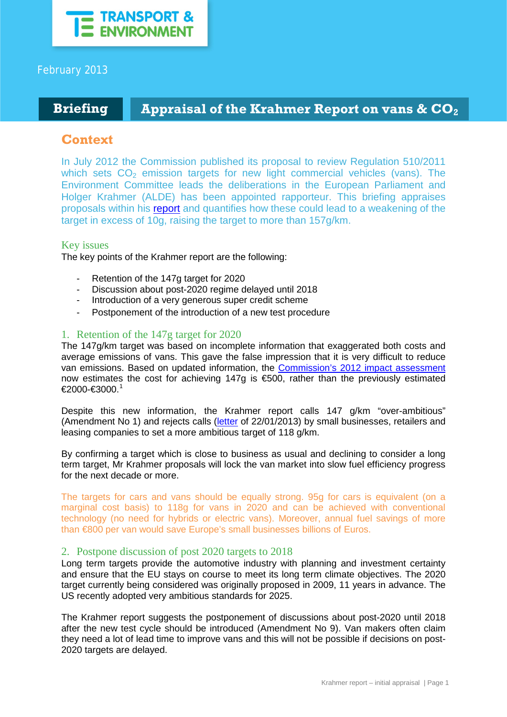

## February 2013

# **Briefing Appraisal of the Krahmer Report on vans & CO<sub>2</sub>**

# **Context**

In July 2012 the Commission published its proposal to review Regulation 510/2011 which sets  $CO<sub>2</sub>$  emission targets for new light commercial vehicles (vans). The Environment Committee leads the deliberations in the European Parliament and Holger Krahmer (ALDE) has been appointed rapporteur. This briefing appraises proposals within his [report](http://www.europarl.europa.eu/sides/getDoc.do?type=COMPARL&reference=PE-502.271&format=PDF&language=EN&secondRef=01) and quantifies how these could lead to a weakening of the target in excess of 10g, raising the target to more than 157g/km.

## Key issues

The key points of the Krahmer report are the following:

- Retention of the 147g target for 2020
- Discussion about post-2020 regime delayed until 2018
- Introduction of a very generous super credit scheme
- Postponement of the introduction of a new test procedure

## 1. Retention of the 147g target for 2020

The 147g/km target was based on incomplete information that exaggerated both costs and average emissions of vans. This gave the false impression that it is very difficult to reduce van emissions. Based on updated information, the [Commission's 2012 impact assessment](http://eur-lex.europa.eu/LexUriServ/LexUriServ.do?uri=SWD:2012:0213:FIN:EN:PDF) now estimates the cost for achieving 147g is  $\epsilon$ 500, rather than the previously estimated €2000-€3000. [1](#page-2-0)

Despite this new information, the Krahmer report calls 147 g/km "over-ambitious" (Amendment No 1) and rejects calls [\(letter](http://www.transportenvironment.org/sites/te/files/publications/Joint%20letter%20-%20stricter%20fuel%20economy%20standards%20for%20vans_final.pdf) of 22/01/2013) by small businesses, retailers and leasing companies to set a more ambitious target of 118 g/km.

By confirming a target which is close to business as usual and declining to consider a long term target, Mr Krahmer proposals will lock the van market into slow fuel efficiency progress for the next decade or more.

The targets for cars and vans should be equally strong. 95g for cars is equivalent (on a marginal cost basis) to 118g for vans in 2020 and can be achieved with conventional technology (no need for hybrids or electric vans). Moreover, annual fuel savings of more than €800 per van would save Europe's small businesses billions of Euros.

## 2. Postpone discussion of post 2020 targets to 2018

Long term targets provide the automotive industry with planning and investment certainty and ensure that the EU stays on course to meet its long term climate objectives. The 2020 target currently being considered was originally proposed in 2009, 11 years in advance. The US recently adopted very ambitious standards for 2025.

The Krahmer report suggests the postponement of discussions about post-2020 until 2018 after the new test cycle should be introduced (Amendment No 9). Van makers often claim they need a lot of lead time to improve vans and this will not be possible if decisions on post-2020 targets are delayed.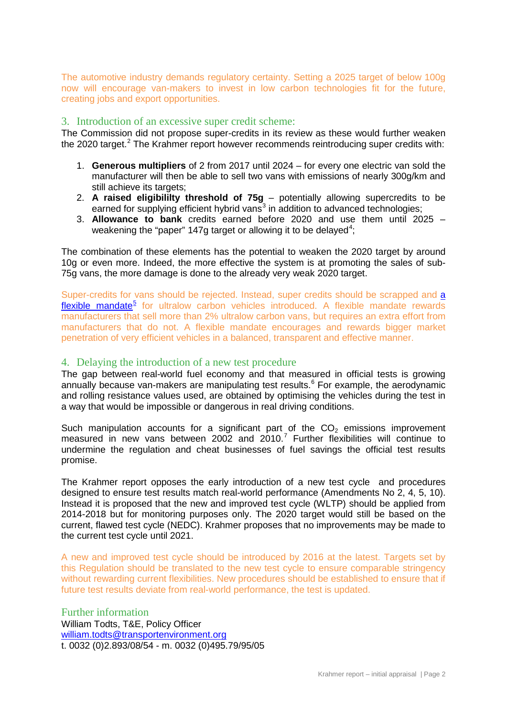The automotive industry demands regulatory certainty. Setting a 2025 target of below 100g now will encourage van-makers to invest in low carbon technologies fit for the future, creating jobs and export opportunities.

#### 3. Introduction of an excessive super credit scheme:

The Commission did not propose super-credits in its review as these would further weaken the [2](#page-2-1)020 target.<sup>2</sup> The Krahmer report however recommends reintroducing super credits with:

- 1. **Generous multipliers** of 2 from 2017 until 2024 for every one electric van sold the manufacturer will then be able to sell two vans with emissions of nearly 300g/km and still achieve its targets;
- 2. **A raised eligibililty threshold of 75g** potentially allowing supercredits to be earned for supplying efficient hybrid vans $3$  in addition to advanced technologies;
- 3. **Allowance to bank** credits earned before 2020 and use them until 2025 weakening the "paper" 1[4](#page-2-3)7g target or allowing it to be delayed<sup>4</sup>;

The combination of these elements has the potential to weaken the 2020 target by around 10g or even more. Indeed, the more effective the system is at promoting the sales of sub-75g vans, the more damage is done to the already very weak 2020 target.

Super-credits for vans should be rejected. Instead, super credits should be scrapped and [a](http://www.transportenvironment.org/publications/ultralow-carbon-vehicles-and-supercredits)   $flexible$  mandate<sup>5</sup> for ultralow carbon vehicles introduced. A [flexible mandate](http://www.transportenvironment.org/publications/ultralow-carbon-vehicles-and-supercredits) rewards manufacturers that sell more than 2% ultralow carbon vans, but requires an extra effort from manufacturers that do not. A flexible mandate encourages and rewards bigger market penetration of very efficient vehicles in a balanced, transparent and effective manner.

#### 4. Delaying the introduction of a new test procedure

The gap between real-world fuel economy and that measured in official tests is growing annually because van-makers are manipulating test results.<sup>[6](#page-2-5)</sup> For example, the aerodynamic and rolling resistance values used, are obtained by optimising the vehicles during the test in a way that would be impossible or dangerous in real driving conditions.

Such manipulation accounts for a significant part of the  $CO<sub>2</sub>$  emissions improvement measured in new vans between 2002 and 2010.[7](#page-2-6) Further flexibilities will continue to undermine the regulation and cheat businesses of fuel savings the official test results promise.

The Krahmer report opposes the early introduction of a new test cycle and procedures designed to ensure test results match real-world performance (Amendments No 2, 4, 5, 10). Instead it is proposed that the new and improved test cycle (WLTP) should be applied from 2014-2018 but for monitoring purposes only. The 2020 target would still be based on the current, flawed test cycle (NEDC). Krahmer proposes that no improvements may be made to the current test cycle until 2021.

A new and improved test cycle should be introduced by 2016 at the latest. Targets set by this Regulation should be translated to the new test cycle to ensure comparable stringency without rewarding current flexibilities. New procedures should be established to ensure that if future test results deviate from real-world performance, the test is updated.

Further information William Todts, T&E, Policy Officer [william.todts@transportenvironment.org](mailto:william.todts@transportenvironment.org) t. 0032 (0)2.893/08/54 - m. 0032 (0)495.79/95/05